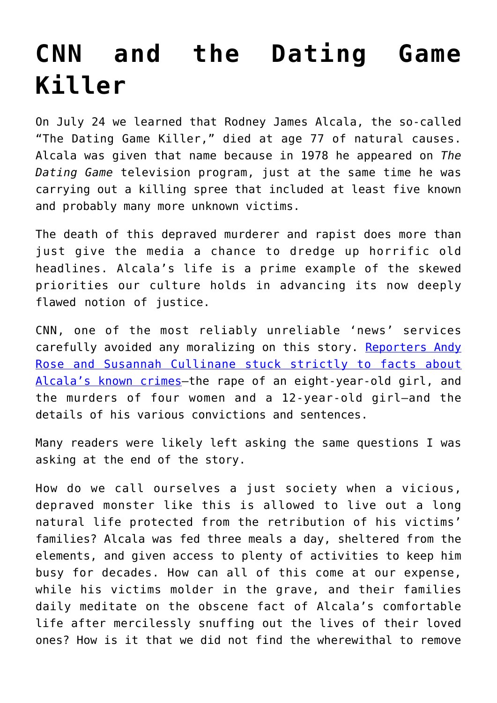## **[CNN and the Dating Game](https://intellectualtakeout.org/2021/08/cnn-and-the-dating-game-killer/) [Killer](https://intellectualtakeout.org/2021/08/cnn-and-the-dating-game-killer/)**

On July 24 we learned that Rodney James Alcala, the so-called "The Dating Game Killer," died at age 77 of natural causes. Alcala was given that name because in 1978 he appeared on *The Dating Game* television program, just at the same time he was carrying out a killing spree that included at least five known and probably many more unknown victims.

The death of this depraved murderer and rapist does more than just give the media a chance to dredge up horrific old headlines. Alcala's life is a prime example of the skewed priorities our culture holds in advancing its now deeply flawed notion of justice.

CNN, one of the most reliably unreliable 'news' services carefully avoided any moralizing on this story. [Reporters Andy](https://www.cnn.com/2021/07/24/us/dating-game-killer-alcala-dies/index.html) [Rose and Susannah Cullinane stuck strictly to facts about](https://www.cnn.com/2021/07/24/us/dating-game-killer-alcala-dies/index.html) [Alcala's known crimes—](https://www.cnn.com/2021/07/24/us/dating-game-killer-alcala-dies/index.html)the rape of an eight-year-old girl, and the murders of four women and a 12-year-old girl—and the details of his various convictions and sentences.

Many readers were likely left asking the same questions I was asking at the end of the story.

How do we call ourselves a just society when a vicious, depraved monster like this is allowed to live out a long natural life protected from the retribution of his victims' families? Alcala was fed three meals a day, sheltered from the elements, and given access to plenty of activities to keep him busy for decades. How can all of this come at our expense, while his victims molder in the grave, and their families daily meditate on the obscene fact of Alcala's comfortable life after mercilessly snuffing out the lives of their loved ones? How is it that we did not find the wherewithal to remove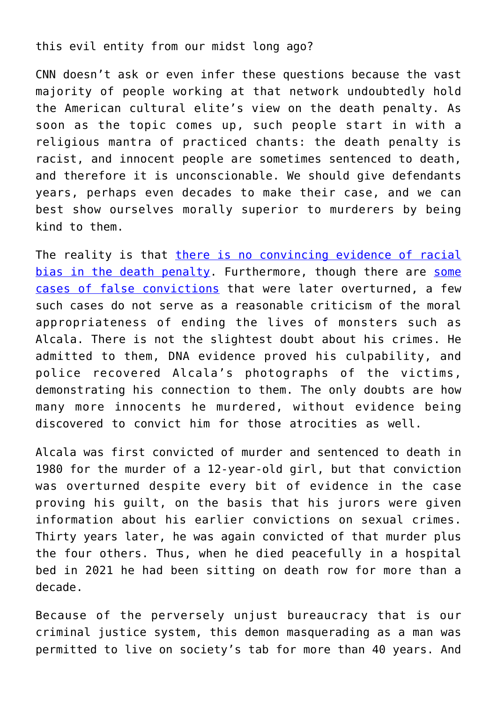## this evil entity from our midst long ago?

CNN doesn't ask or even infer these questions because the vast majority of people working at that network undoubtedly hold the American cultural elite's view on the death penalty. As soon as the topic comes up, such people start in with a religious mantra of practiced chants: the death penalty is racist, and innocent people are sometimes sentenced to death, and therefore it is unconscionable. We should give defendants years, perhaps even decades to make their case, and we can best show ourselves morally superior to murderers by being kind to them.

The reality is that [there is no convincing evidence of racial](https://www.mindingthecampus.org/2021/07/01/on-the-death-penalty-race-elite-opinion-and-the-new-social-desirability-bias/) [bias in the death penalty.](https://www.mindingthecampus.org/2021/07/01/on-the-death-penalty-race-elite-opinion-and-the-new-social-desirability-bias/) Furthermore, though there are [some](https://deathpenaltyinfo.org/policy-issues/innocence/description-of-innocence-cases) [cases of false convictions](https://deathpenaltyinfo.org/policy-issues/innocence/description-of-innocence-cases) that were later overturned, a few such cases do not serve as a reasonable criticism of the moral appropriateness of ending the lives of monsters such as Alcala. There is not the slightest doubt about his crimes. He admitted to them, DNA evidence proved his culpability, and police recovered Alcala's photographs of the victims, demonstrating his connection to them. The only doubts are how many more innocents he murdered, without evidence being discovered to convict him for those atrocities as well.

Alcala was first convicted of murder and sentenced to death in 1980 for the murder of a 12-year-old girl, but that conviction was overturned despite every bit of evidence in the case proving his guilt, on the basis that his jurors were given information about his earlier convictions on sexual crimes. Thirty years later, he was again convicted of that murder plus the four others. Thus, when he died peacefully in a hospital bed in 2021 he had been sitting on death row for more than a decade.

Because of the perversely unjust bureaucracy that is our criminal justice system, this demon masquerading as a man was permitted to live on society's tab for more than 40 years. And